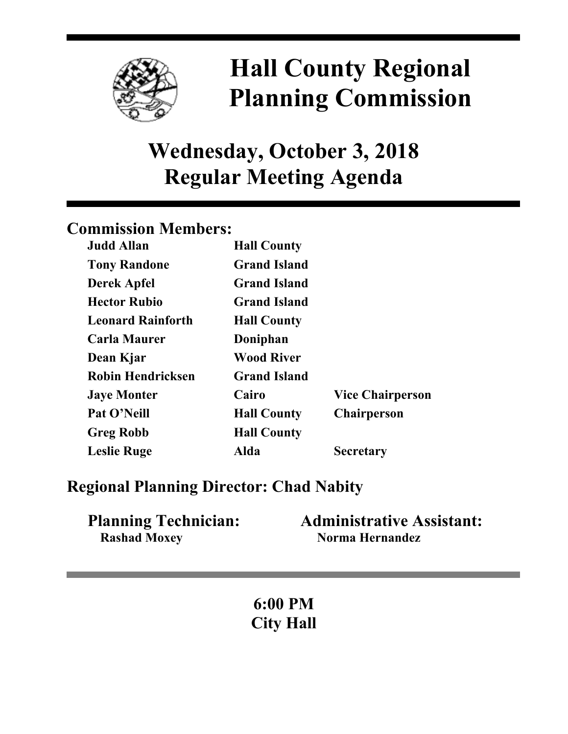

# **Hall County Regional Planning Commission**

## **Wednesday, October 3, 2018 Regular Meeting Agenda**

## **Commission Members:**

| <b>Judd Allan</b>        | <b>Hall County</b>  |                         |
|--------------------------|---------------------|-------------------------|
| <b>Tony Randone</b>      | <b>Grand Island</b> |                         |
| <b>Derek Apfel</b>       | <b>Grand Island</b> |                         |
| <b>Hector Rubio</b>      | <b>Grand Island</b> |                         |
| <b>Leonard Rainforth</b> | <b>Hall County</b>  |                         |
| <b>Carla Maurer</b>      | Doniphan            |                         |
| Dean Kjar                | <b>Wood River</b>   |                         |
| <b>Robin Hendricksen</b> | <b>Grand Island</b> |                         |
| <b>Jaye Monter</b>       | Cairo               | <b>Vice Chairperson</b> |
| Pat O'Neill              | <b>Hall County</b>  | <b>Chairperson</b>      |
| <b>Greg Robb</b>         | <b>Hall County</b>  |                         |
| <b>Leslie Ruge</b>       | Alda                | <b>Secretary</b>        |

## **Regional Planning Director: Chad Nabity**

| <b>Planning Technician:</b> | <b>Administrative Assistant:</b> |
|-----------------------------|----------------------------------|
| <b>Rashad Moxey</b>         | Norma Hernandez                  |

**6:00 PM City Hall**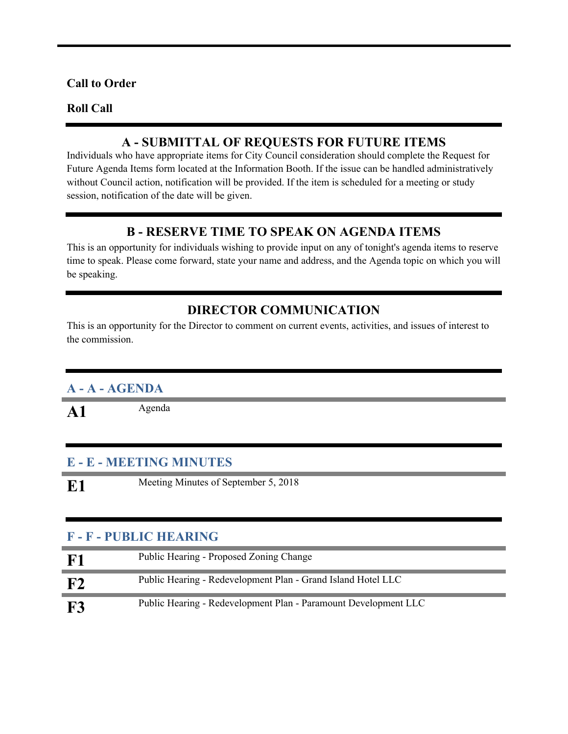#### **Call to Order**

#### **Roll Call**

#### **A - SUBMITTAL OF REQUESTS FOR FUTURE ITEMS**

Individuals who have appropriate items for City Council consideration should complete the Request for Future Agenda Items form located at the Information Booth. If the issue can be handled administratively without Council action, notification will be provided. If the item is scheduled for a meeting or study session, notification of the date will be given.

#### **B - RESERVE TIME TO SPEAK ON AGENDA ITEMS**

This is an opportunity for individuals wishing to provide input on any of tonight's agenda items to reserve time to speak. Please come forward, state your name and address, and the Agenda topic on which you will be speaking.

#### **DIRECTOR COMMUNICATION**

This is an opportunity for the Director to comment on current events, activities, and issues of interest to the commission.

#### **A - A - AGENDA**

A1 Agenda

#### **E - E - MEETING MINUTES**

**E1** Meeting Minutes of September 5, 2018

#### **F - F - PUBLIC HEARING**

| F <sub>1</sub> | Public Hearing - Proposed Zoning Change                         |
|----------------|-----------------------------------------------------------------|
| ${\bf F2}$     | Public Hearing - Redevelopment Plan - Grand Island Hotel LLC    |
| <b>F3</b>      | Public Hearing - Redevelopment Plan - Paramount Development LLC |